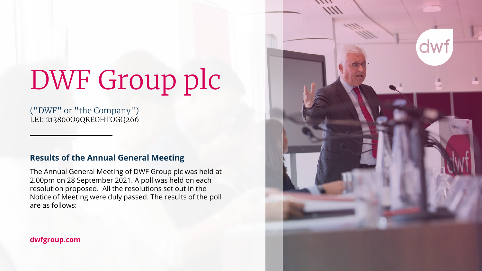# DWF Group plc

("DWF" or "the Company") LEI: 213800O9QREOHTOGQ266

## **Results of the Annual General Meeting**

The Annual General Meeting of DWF Group plc was held at 2.00pm on 28 September 2021. A poll was held on each resolution proposed. All the resolutions set out in the Notice of Meeting were duly passed. The results of the poll are as follows:

### **dwfgroup.com**

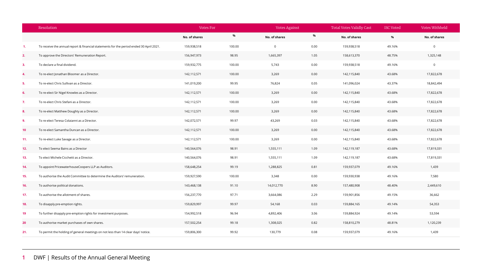|     | Resolution                                                                              | Votes For     |        | <b>Votes Against</b> |      | <b>Total Votes Validly Cast</b> | <b>ISC Voted</b> | Votes Withheld |
|-----|-----------------------------------------------------------------------------------------|---------------|--------|----------------------|------|---------------------------------|------------------|----------------|
|     |                                                                                         | No. of shares | %      | No. of shares        | %    | No. of shares                   | $\%$             | No. of shares  |
| 1.  | To receive the annual report & financial statements for the period ended 30 April 2021. | 159,938,518   | 100.00 | $\mathsf{O}\xspace$  | 0.00 | 159,938,518                     | 49.16%           | $\mathsf 0$    |
| 2.  | To approve the Directors' Remuneration Report.                                          | 156,947,973   | 98.95  | 1,665,397            | 1.05 | 158,613,370                     | 48.75%           | 1,325,148      |
| 3.  | To declare a final dividend.                                                            | 159,932,775   | 100.00 | 5,743                | 0.00 | 159,938,518                     | 49.16%           | $\mathbb O$    |
| 4.  | To re-elect Jonathan Bloomer as a Director.                                             | 142,112,571   | 100.00 | 3,269                | 0.00 | 142,115,840                     | 43.68%           | 17,822,678     |
| 5.  | To re-elect Chris Sullivan as a Director.                                               | 141,019,200   | 99.95  | 76,824               | 0.05 | 141,096,024                     | 43.37%           | 18,842,494     |
| 6.  | To re-elect Sir Nigel Knowles as a Director.                                            | 142,112,571   | 100.00 | 3,269                | 0.00 | 142,115,840                     | 43.68%           | 17,822,678     |
| 7.  | To re-elect Chris Stefani as a Director.                                                | 142,112,571   | 100.00 | 3,269                | 0.00 | 142,115,840                     | 43.68%           | 17,822,678     |
| 8.  | To re-elect Matthew Doughty as a Director.                                              | 142,112,571   | 100.00 | 3,269                | 0.00 | 142,115,840                     | 43.68%           | 17,822,678     |
| 9.  | To re-elect Teresa Colaianni as a Director.                                             | 142,072,571   | 99.97  | 43,269               | 0.03 | 142,115,840                     | 43.68%           | 17,822,678     |
| 10  | To re-elect Samantha Duncan as a Director.                                              | 142,112,571   | 100.00 | 3,269                | 0.00 | 142,115,840                     | 43.68%           | 17,822,678     |
| 11. | To re-elect Luke Savage as a Director.                                                  | 142,112,571   | 100.00 | 3,269                | 0.00 | 142,115,840                     | 43.68%           | 17,822,678     |
| 12. | To elect Seema Bains as a Director                                                      | 140,564,076   | 98.91  | 1,555,111            | 1.09 | 142,119,187                     | 43.68%           | 17,819,331     |
| 13. | To elect Michele Cicchetti as a Director.                                               | 140,564,076   | 98.91  | 1,555,111            | 1.09 | 142,119,187                     | 43.68%           | 17,819,331     |
| 14. | To appoint PricewaterhouseCoopers LLP as Auditors.                                      | 158,648,254   | 99.19  | 1,288,825            | 0.81 | 159,937,079                     | 49.16%           | 1,439          |
| 15. | To authorise the Audit Committee to determine the Auditors' remuneration.               | 159,927,590   | 100.00 | 3,348                | 0.00 | 159,930,938                     | 49.16%           | 7,580          |
| 16. | To authorise political donations.                                                       | 143,468,138   | 91.10  | 14,012,770           | 8.90 | 157,480,908                     | 48.40%           | 2,449,610      |
| 17. | To authorise the allotment of shares.                                                   | 156,237,770   | 97.71  | 3,664,086            | 2.29 | 159,901,856                     | 49.15%           | 36,662         |
| 18. | To disapply pre-emption rights.                                                         | 159,829,997   | 99.97  | 54,168               | 0.03 | 159,884,165                     | 49.14%           | 54,353         |
| 19  | To further disapply pre-emption rights for investment purposes.                         | 154,992,518   | 96.94  | 4,892,406            | 3.06 | 159,884,924                     | 49.14%           | 53,594         |
| 20  | To authorise market purchases of own shares.                                            | 157,502,254   | 99.18  | 1,308,025            | 0.82 | 158,810,279                     | 48.81%           | 1,120,239      |
| 21. | To permit the holding of general meetings on not less than 14 clear days' notice.       | 159,806,300   | 99.92  | 130,779              | 0.08 | 159,937,079                     | 49.16%           | 1,439          |